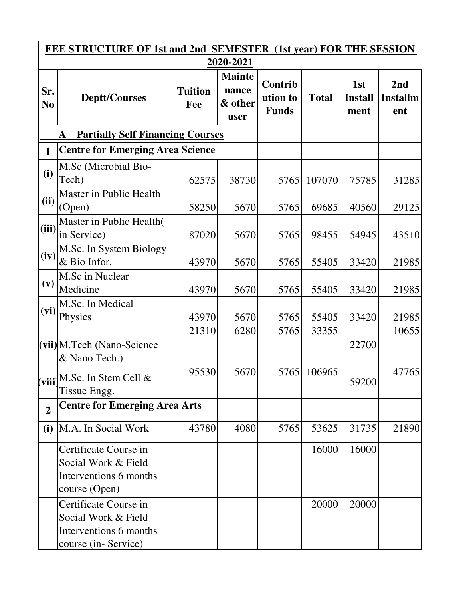|                       | FEE STRUCTURE OF 1st and 2nd SEMESTER (1st year) FOR THE SESSION                              |                       |                                           |                                     |              |                               |                                           |
|-----------------------|-----------------------------------------------------------------------------------------------|-----------------------|-------------------------------------------|-------------------------------------|--------------|-------------------------------|-------------------------------------------|
|                       |                                                                                               |                       | 2020-2021                                 |                                     |              |                               |                                           |
| Sr.<br>N <sub>0</sub> | <b>Deptt/Courses</b>                                                                          | <b>Tuition</b><br>Fee | <b>Mainte</b><br>nance<br>& other<br>user | Contrib<br>ution to<br><b>Funds</b> | <b>Total</b> | 1st<br><b>Install</b><br>ment | 2 <sub>nd</sub><br><b>Installm</b><br>ent |
|                       | <b>Partially Self Financing Courses</b>                                                       |                       |                                           |                                     |              |                               |                                           |
| $\mathbf{1}$          | <b>Centre for Emerging Area Science</b>                                                       |                       |                                           |                                     |              |                               |                                           |
| (i)                   | M.Sc (Microbial Bio-<br>Tech)                                                                 | 62575                 | 38730                                     | 5765                                | 107070       | 75785                         | 31285                                     |
| (ii)                  | Master in Public Health<br>(Open)                                                             | 58250                 | 5670                                      | 5765                                | 69685        | 40560                         | 29125                                     |
| (iii)                 | Master in Public Health(<br>in Service)                                                       | 87020                 | 5670                                      | 5765                                | 98455        | 54945                         | 43510                                     |
| (iv)                  | M.Sc. In System Biology<br>& Bio Infor.                                                       | 43970                 | 5670                                      | 5765                                | 55405        | 33420                         | 21985                                     |
| (v)                   | M.Sc in Nuclear<br>Medicine                                                                   | 43970                 | 5670                                      | 5765                                | 55405        | 33420                         | 21985                                     |
| (vi)                  | M.Sc. In Medical<br>Physics                                                                   | 43970                 | 5670                                      | 5765                                | 55405        | 33420                         | 21985                                     |
|                       | $(vii)$ M.Tech (Nano-Science<br>& Nano Tech.)                                                 | 21310                 | 6280                                      | 5765                                | 33355        | 22700                         | 10655                                     |
|                       | $\text{viii}$ M.Sc. In Stem Cell &<br>Tissue Engg.                                            | 95530                 | 5670                                      | 5765                                | 106965       | 59200                         | 47765                                     |
| $\overline{2}$        | <b>Centre for Emerging Area Arts</b>                                                          |                       |                                           |                                     |              |                               |                                           |
| (i)                   | M.A. In Social Work                                                                           | 43780                 | 4080                                      | 5765                                | 53625        | 31735                         | 21890                                     |
|                       | Certificate Course in<br>Social Work & Field<br>Interventions 6 months<br>course (Open)       |                       |                                           |                                     | 16000        | 16000                         |                                           |
|                       | Certificate Course in<br>Social Work & Field<br>Interventions 6 months<br>course (in-Service) |                       |                                           |                                     | 20000        | 20000                         |                                           |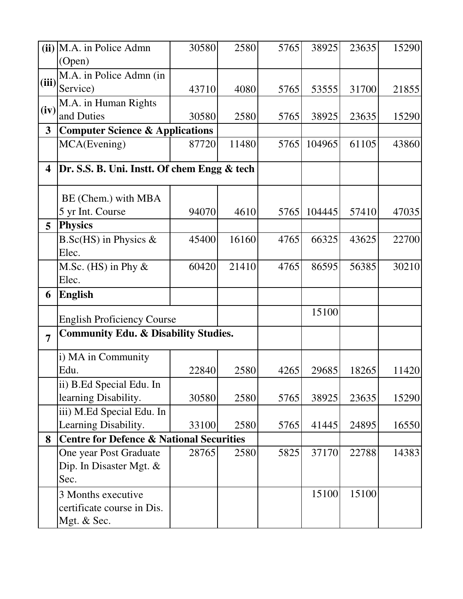|                         | $(ii)$ M.A. in Police Admn                          | 30580 | 2580  | 5765 | 38925  | 23635 | 15290 |
|-------------------------|-----------------------------------------------------|-------|-------|------|--------|-------|-------|
|                         | (Open)                                              |       |       |      |        |       |       |
|                         | M.A. in Police Admn (in                             |       |       |      |        |       |       |
| (iii)                   | Service)                                            | 43710 | 4080  | 5765 | 53555  | 31700 | 21855 |
|                         | M.A. in Human Rights                                |       |       |      |        |       |       |
| (iv)                    | and Duties                                          | 30580 | 2580  | 5765 | 38925  | 23635 | 15290 |
| $\overline{\mathbf{3}}$ | <b>Computer Science &amp; Applications</b>          |       |       |      |        |       |       |
|                         | MCA(Evening)                                        | 87720 | 11480 | 5765 | 104965 | 61105 | 43860 |
| 4                       | Dr. S.S. B. Uni. Instt. Of chem Engg & tech         |       |       |      |        |       |       |
|                         | BE (Chem.) with MBA                                 |       |       |      |        |       |       |
|                         | 5 yr Int. Course                                    | 94070 | 4610  | 5765 | 104445 | 57410 | 47035 |
| 5                       | <b>Physics</b>                                      |       |       |      |        |       |       |
|                         | B.Sc(HS) in Physics $\&$                            | 45400 | 16160 | 4765 | 66325  | 43625 | 22700 |
|                         | Elec.                                               |       |       |      |        |       |       |
|                         | M.Sc. (HS) in Phy $\&$                              | 60420 | 21410 | 4765 | 86595  | 56385 | 30210 |
|                         | Elec.                                               |       |       |      |        |       |       |
| 6                       | English                                             |       |       |      |        |       |       |
|                         | <b>English Proficiency Course</b>                   |       |       |      | 15100  |       |       |
| 7                       | <b>Community Edu. &amp; Disability Studies.</b>     |       |       |      |        |       |       |
|                         | i) MA in Community                                  |       |       |      |        |       |       |
|                         | Edu.                                                | 22840 | 2580  | 4265 | 29685  | 18265 | 11420 |
|                         | ii) B.Ed Special Edu. In                            |       |       |      |        |       |       |
|                         | learning Disability.                                | 30580 | 2580  | 5765 | 38925  | 23635 | 15290 |
|                         | iii) M.Ed Special Edu. In                           |       |       |      |        |       |       |
|                         | Learning Disability.                                | 33100 | 2580  | 5765 | 41445  | 24895 | 16550 |
| 8                       | <b>Centre for Defence &amp; National Securities</b> |       |       |      |        |       |       |
|                         | One year Post Graduate                              | 28765 | 2580  | 5825 | 37170  | 22788 | 14383 |
|                         | Dip. In Disaster Mgt. &                             |       |       |      |        |       |       |
|                         | Sec.                                                |       |       |      |        |       |       |
|                         | 3 Months executive                                  |       |       |      | 15100  | 15100 |       |
|                         | certificate course in Dis.                          |       |       |      |        |       |       |
|                         | Mgt. & Sec.                                         |       |       |      |        |       |       |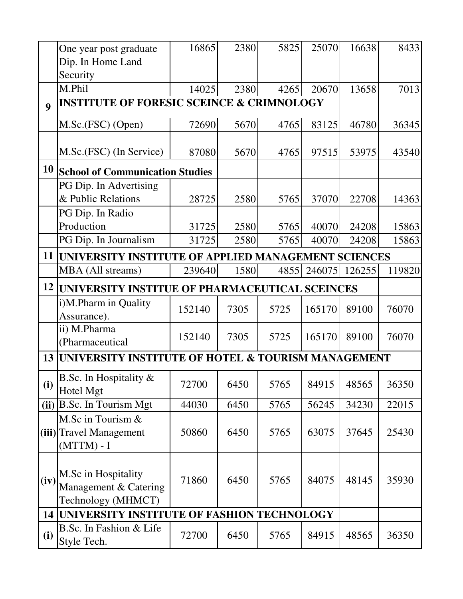|                  | One year post graduate                                             | 16865  | 2380 | 5825 | 25070  | 16638  | 8433   |
|------------------|--------------------------------------------------------------------|--------|------|------|--------|--------|--------|
|                  | Dip. In Home Land                                                  |        |      |      |        |        |        |
|                  | Security                                                           |        |      |      |        |        |        |
|                  | M.Phil                                                             | 14025  | 2380 | 4265 | 20670  | 13658  | 7013   |
| $\boldsymbol{9}$ | <b>INSTITUTE OF FORESIC SCEINCE &amp; CRIMNOLOGY</b>               |        |      |      |        |        |        |
|                  | M.Sc.(FSC) (Open)                                                  | 72690  | 5670 | 4765 | 83125  | 46780  | 36345  |
|                  | M.Sc.(FSC) (In Service)                                            | 87080  | 5670 | 4765 | 97515  | 53975  | 43540  |
| 10               | <b>School of Communication Studies</b>                             |        |      |      |        |        |        |
|                  | PG Dip. In Advertising                                             |        |      |      |        |        |        |
|                  | & Public Relations                                                 | 28725  | 2580 | 5765 | 37070  | 22708  | 14363  |
|                  | PG Dip. In Radio                                                   |        |      |      |        |        |        |
|                  | Production                                                         | 31725  | 2580 | 5765 | 40070  | 24208  | 15863  |
|                  | PG Dip. In Journalism                                              | 31725  | 2580 | 5765 | 40070  | 24208  | 15863  |
| 11               | UNIVERSITY INSTITUTE OF APPLIED MANAGEMENT SCIENCES                |        |      |      |        |        |        |
|                  | MBA (All streams)                                                  | 239640 | 1580 | 4855 | 246075 | 126255 | 119820 |
| 12               | UNIVERSITY INSTITUE OF PHARMACEUTICAL SCEINCES                     |        |      |      |        |        |        |
|                  | i)M.Pharm in Quality<br>Assurance).                                | 152140 | 7305 | 5725 | 165170 | 89100  | 76070  |
|                  | ii) M.Pharma<br>(Pharmaceutical                                    | 152140 | 7305 | 5725 | 165170 | 89100  | 76070  |
| 13               | UNIVERSITY INSTITUTE OF HOTEL & TOURISM MANAGEMENT                 |        |      |      |        |        |        |
| (i)              | B.Sc. In Hospitality $\&$<br>Hotel Mgt                             | 72700  | 6450 | 5765 | 84915  | 48565  | 36350  |
|                  | $(ii)$ B.Sc. In Tourism Mgt                                        | 44030  | 6450 | 5765 | 56245  | 34230  | 22015  |
|                  | M.Sc in Tourism &<br>(iii) Travel Management<br>$(MTTM) - I$       | 50860  | 6450 | 5765 | 63075  | 37645  | 25430  |
| (iv)             | M.Sc in Hospitality<br>Management & Catering<br>Technology (MHMCT) | 71860  | 6450 | 5765 | 84075  | 48145  | 35930  |
| 14               | UNIVERSITY INSTITUTE OF FASHION TECHNOLOGY                         |        |      |      |        |        |        |
| (i)              | B.Sc. In Fashion & Life<br>Style Tech.                             | 72700  | 6450 | 5765 | 84915  | 48565  | 36350  |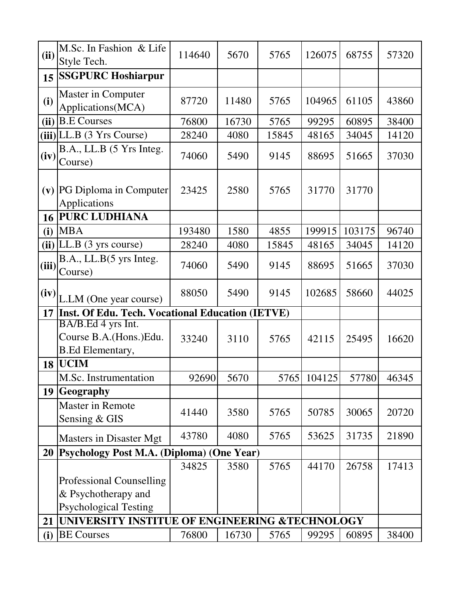| (ii)  | M.Sc. In Fashion & Life<br>Style Tech.                                  | 114640 | 5670  | 5765  | 126075      | 68755  | 57320 |
|-------|-------------------------------------------------------------------------|--------|-------|-------|-------------|--------|-------|
| 15    | <b>SSGPURC Hoshiarpur</b>                                               |        |       |       |             |        |       |
| (i)   | Master in Computer<br>Applications(MCA)                                 | 87720  | 11480 | 5765  | 104965      | 61105  | 43860 |
|       | $(ii)$ B.E Courses                                                      | 76800  | 16730 | 5765  | 99295       | 60895  | 38400 |
|       | $(iii)$ LL.B (3 Yrs Course)                                             | 28240  | 4080  | 15845 | 48165       | 34045  | 14120 |
| (iv)  | B.A., LL.B (5 Yrs Integ.<br>Course)                                     | 74060  | 5490  | 9145  | 88695       | 51665  | 37030 |
|       | $(v)$ PG Diploma in Computer<br>Applications                            | 23425  | 2580  | 5765  | 31770       | 31770  |       |
| 16    | <b>PURC LUDHIANA</b>                                                    |        |       |       |             |        |       |
| (i)   | <b>MBA</b>                                                              | 193480 | 1580  | 4855  | 199915      | 103175 | 96740 |
| (ii)  | $LL.B$ (3 yrs course)                                                   | 28240  | 4080  | 15845 | 48165       | 34045  | 14120 |
| (iii) | B.A., LL.B(5 yrs Integ.<br>Course)                                      | 74060  | 5490  | 9145  | 88695       | 51665  | 37030 |
| (iv)  | L.LM (One year course)                                                  | 88050  | 5490  | 9145  | 102685      | 58660  | 44025 |
| 17    | Inst. Of Edu. Tech. Vocational Education (IETVE)                        |        |       |       |             |        |       |
|       | BA/B.Ed 4 yrs Int.<br>Course B.A.(Hons.)Edu.<br><b>B.Ed Elementary,</b> | 33240  | 3110  | 5765  | 42115       | 25495  | 16620 |
| 18    | <b>UCIM</b>                                                             |        |       |       |             |        |       |
|       | M.Sc. Instrumentation                                                   | 92690  | 5670  |       | 5765 104125 | 57780  | 46345 |
| 19    | <b>Geography</b>                                                        |        |       |       |             |        |       |
|       | Master in Remote<br>Sensing & GIS                                       | 41440  | 3580  | 5765  | 50785       | 30065  | 20720 |
|       | Masters in Disaster Mgt                                                 | 43780  | 4080  | 5765  | 53625       | 31735  | 21890 |
| 20    | Psychology Post M.A. (Diploma) (One Year)                               |        |       |       |             |        |       |
|       |                                                                         | 34825  | 3580  | 5765  | 44170       | 26758  | 17413 |
|       | <b>Professional Counselling</b>                                         |        |       |       |             |        |       |
|       | & Psychotherapy and                                                     |        |       |       |             |        |       |
|       | <b>Psychological Testing</b>                                            |        |       |       |             |        |       |
| 21    | UNIVERSITY INSTITUE OF ENGINEERING &TECHNOLOGY                          |        |       |       |             |        |       |
| (i)   | <b>BE Courses</b>                                                       | 76800  | 16730 | 5765  | 99295       | 60895  | 38400 |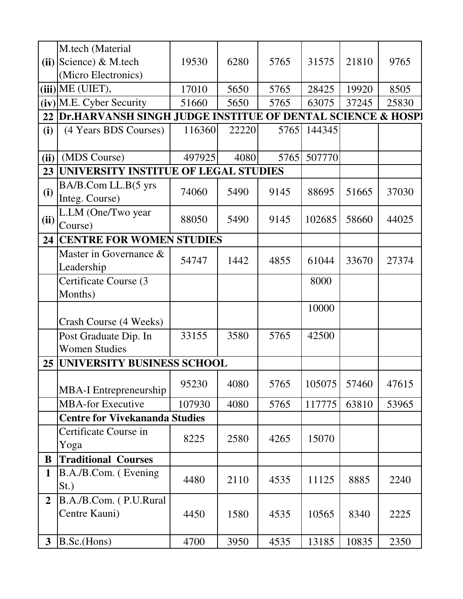| $(ii)$ Science) & M.tech<br>19530<br>6280<br>5765<br>31575<br>21810<br>9765<br>(Micro Electronics)<br>(iii) ME (UIET),<br>5765<br>19920<br>17010<br>5650<br>28425<br>8505<br>$(iv)$ M.E. Cyber Security<br>37245<br>51660<br>5650<br>5765<br>63075<br>25830<br>Dr.HARVANSH SINGH JUDGE INSTITUE OF DENTAL SCIENCE & HOSPI<br>116360<br>22220<br>5765 144345<br>(4 Years BDS Courses)<br>(MDS Course)<br>497925<br>4080<br>5765<br>507770<br>UNIVERSITY INSTITUE OF LEGAL STUDIES<br>BA/B.Com LL.B(5 yrs<br>88695<br>51665<br>74060<br>5490<br>9145<br>37030<br>Integ. Course)<br>L.LM (One/Two year<br>88050<br>102685<br>58660<br>5490<br>9145<br>44025<br>Course)<br><b>CENTRE FOR WOMEN STUDIES</b><br>Master in Governance &<br>54747<br>1442<br>4855<br>61044<br>33670<br>27374<br>Leadership<br>8000<br>Certificate Course (3<br>Months)<br>10000<br>Crash Course (4 Weeks)<br>5765<br>42500<br>33155<br>3580<br>Post Graduate Dip. In<br><b>Women Studies</b><br>UNIVERSITY BUSINESS SCHOOL<br>95230<br>4080<br>5765<br>105075<br>57460<br>47615<br><b>MBA-I</b> Entrepreneurship<br><b>MBA-for Executive</b><br>107930<br>4080<br>5765<br>117775<br>63810<br>53965<br><b>Centre for Vivekananda Studies</b><br>Certificate Course in<br>15070<br>8225<br>4265<br>2580<br>Yoga<br><b>Traditional Courses</b><br>$\bf{B}$<br>B.A./B.Com. (Evening<br>$\mathbf{1}$<br>8885<br>4480<br>2110<br>4535<br>11125<br>2240<br>$St.$ )<br>B.A./B.Com. (P.U.Rural<br>$\overline{2}$<br>Centre Kauni)<br>10565<br>4450<br>1580<br>4535<br>8340<br>2225<br>10835<br>B.Sc.(Hons)<br>3950<br>13185<br>2350<br>$3^{\circ}$<br>4700<br>4535 |      | M.tech (Material |  |  |  |
|-----------------------------------------------------------------------------------------------------------------------------------------------------------------------------------------------------------------------------------------------------------------------------------------------------------------------------------------------------------------------------------------------------------------------------------------------------------------------------------------------------------------------------------------------------------------------------------------------------------------------------------------------------------------------------------------------------------------------------------------------------------------------------------------------------------------------------------------------------------------------------------------------------------------------------------------------------------------------------------------------------------------------------------------------------------------------------------------------------------------------------------------------------------------------------------------------------------------------------------------------------------------------------------------------------------------------------------------------------------------------------------------------------------------------------------------------------------------------------------------------------------------------------------------------------------------------------------------------------------------------------------|------|------------------|--|--|--|
|                                                                                                                                                                                                                                                                                                                                                                                                                                                                                                                                                                                                                                                                                                                                                                                                                                                                                                                                                                                                                                                                                                                                                                                                                                                                                                                                                                                                                                                                                                                                                                                                                                   |      |                  |  |  |  |
|                                                                                                                                                                                                                                                                                                                                                                                                                                                                                                                                                                                                                                                                                                                                                                                                                                                                                                                                                                                                                                                                                                                                                                                                                                                                                                                                                                                                                                                                                                                                                                                                                                   |      |                  |  |  |  |
|                                                                                                                                                                                                                                                                                                                                                                                                                                                                                                                                                                                                                                                                                                                                                                                                                                                                                                                                                                                                                                                                                                                                                                                                                                                                                                                                                                                                                                                                                                                                                                                                                                   |      |                  |  |  |  |
|                                                                                                                                                                                                                                                                                                                                                                                                                                                                                                                                                                                                                                                                                                                                                                                                                                                                                                                                                                                                                                                                                                                                                                                                                                                                                                                                                                                                                                                                                                                                                                                                                                   |      |                  |  |  |  |
|                                                                                                                                                                                                                                                                                                                                                                                                                                                                                                                                                                                                                                                                                                                                                                                                                                                                                                                                                                                                                                                                                                                                                                                                                                                                                                                                                                                                                                                                                                                                                                                                                                   | 22   |                  |  |  |  |
|                                                                                                                                                                                                                                                                                                                                                                                                                                                                                                                                                                                                                                                                                                                                                                                                                                                                                                                                                                                                                                                                                                                                                                                                                                                                                                                                                                                                                                                                                                                                                                                                                                   | (i)  |                  |  |  |  |
|                                                                                                                                                                                                                                                                                                                                                                                                                                                                                                                                                                                                                                                                                                                                                                                                                                                                                                                                                                                                                                                                                                                                                                                                                                                                                                                                                                                                                                                                                                                                                                                                                                   | (ii) |                  |  |  |  |
|                                                                                                                                                                                                                                                                                                                                                                                                                                                                                                                                                                                                                                                                                                                                                                                                                                                                                                                                                                                                                                                                                                                                                                                                                                                                                                                                                                                                                                                                                                                                                                                                                                   | 23   |                  |  |  |  |
|                                                                                                                                                                                                                                                                                                                                                                                                                                                                                                                                                                                                                                                                                                                                                                                                                                                                                                                                                                                                                                                                                                                                                                                                                                                                                                                                                                                                                                                                                                                                                                                                                                   | (i)  |                  |  |  |  |
|                                                                                                                                                                                                                                                                                                                                                                                                                                                                                                                                                                                                                                                                                                                                                                                                                                                                                                                                                                                                                                                                                                                                                                                                                                                                                                                                                                                                                                                                                                                                                                                                                                   | (ii) |                  |  |  |  |
|                                                                                                                                                                                                                                                                                                                                                                                                                                                                                                                                                                                                                                                                                                                                                                                                                                                                                                                                                                                                                                                                                                                                                                                                                                                                                                                                                                                                                                                                                                                                                                                                                                   | 24   |                  |  |  |  |
|                                                                                                                                                                                                                                                                                                                                                                                                                                                                                                                                                                                                                                                                                                                                                                                                                                                                                                                                                                                                                                                                                                                                                                                                                                                                                                                                                                                                                                                                                                                                                                                                                                   |      |                  |  |  |  |
|                                                                                                                                                                                                                                                                                                                                                                                                                                                                                                                                                                                                                                                                                                                                                                                                                                                                                                                                                                                                                                                                                                                                                                                                                                                                                                                                                                                                                                                                                                                                                                                                                                   |      |                  |  |  |  |
|                                                                                                                                                                                                                                                                                                                                                                                                                                                                                                                                                                                                                                                                                                                                                                                                                                                                                                                                                                                                                                                                                                                                                                                                                                                                                                                                                                                                                                                                                                                                                                                                                                   |      |                  |  |  |  |
|                                                                                                                                                                                                                                                                                                                                                                                                                                                                                                                                                                                                                                                                                                                                                                                                                                                                                                                                                                                                                                                                                                                                                                                                                                                                                                                                                                                                                                                                                                                                                                                                                                   |      |                  |  |  |  |
|                                                                                                                                                                                                                                                                                                                                                                                                                                                                                                                                                                                                                                                                                                                                                                                                                                                                                                                                                                                                                                                                                                                                                                                                                                                                                                                                                                                                                                                                                                                                                                                                                                   | 25   |                  |  |  |  |
|                                                                                                                                                                                                                                                                                                                                                                                                                                                                                                                                                                                                                                                                                                                                                                                                                                                                                                                                                                                                                                                                                                                                                                                                                                                                                                                                                                                                                                                                                                                                                                                                                                   |      |                  |  |  |  |
|                                                                                                                                                                                                                                                                                                                                                                                                                                                                                                                                                                                                                                                                                                                                                                                                                                                                                                                                                                                                                                                                                                                                                                                                                                                                                                                                                                                                                                                                                                                                                                                                                                   |      |                  |  |  |  |
|                                                                                                                                                                                                                                                                                                                                                                                                                                                                                                                                                                                                                                                                                                                                                                                                                                                                                                                                                                                                                                                                                                                                                                                                                                                                                                                                                                                                                                                                                                                                                                                                                                   |      |                  |  |  |  |
|                                                                                                                                                                                                                                                                                                                                                                                                                                                                                                                                                                                                                                                                                                                                                                                                                                                                                                                                                                                                                                                                                                                                                                                                                                                                                                                                                                                                                                                                                                                                                                                                                                   |      |                  |  |  |  |
|                                                                                                                                                                                                                                                                                                                                                                                                                                                                                                                                                                                                                                                                                                                                                                                                                                                                                                                                                                                                                                                                                                                                                                                                                                                                                                                                                                                                                                                                                                                                                                                                                                   |      |                  |  |  |  |
|                                                                                                                                                                                                                                                                                                                                                                                                                                                                                                                                                                                                                                                                                                                                                                                                                                                                                                                                                                                                                                                                                                                                                                                                                                                                                                                                                                                                                                                                                                                                                                                                                                   |      |                  |  |  |  |
|                                                                                                                                                                                                                                                                                                                                                                                                                                                                                                                                                                                                                                                                                                                                                                                                                                                                                                                                                                                                                                                                                                                                                                                                                                                                                                                                                                                                                                                                                                                                                                                                                                   |      |                  |  |  |  |
|                                                                                                                                                                                                                                                                                                                                                                                                                                                                                                                                                                                                                                                                                                                                                                                                                                                                                                                                                                                                                                                                                                                                                                                                                                                                                                                                                                                                                                                                                                                                                                                                                                   |      |                  |  |  |  |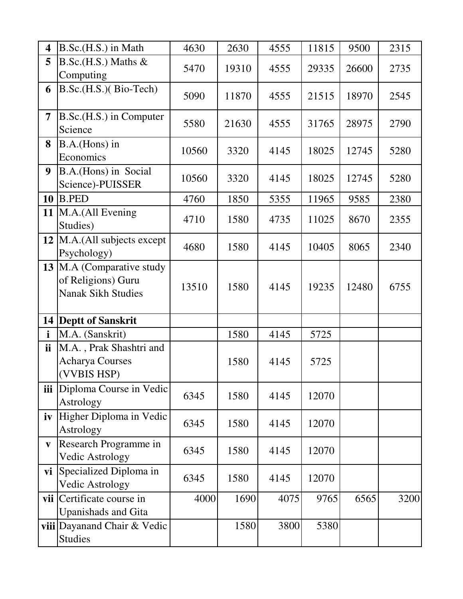| $\overline{\mathbf{4}}$ | B.Sc.(H.S.) in Math                                                          | 4630  | 2630  | 4555 | 11815 | 9500  | 2315 |
|-------------------------|------------------------------------------------------------------------------|-------|-------|------|-------|-------|------|
| 5 <sup>5</sup>          | $B.Sc.(H.S.)$ Maths $&$<br>Computing                                         | 5470  | 19310 | 4555 | 29335 | 26600 | 2735 |
| 6                       | $B.Sc.(H.S.)$ (Bio-Tech)                                                     | 5090  | 11870 | 4555 | 21515 | 18970 | 2545 |
| $\overline{7}$          | B.Sc. (H.S.) in Computer<br>Science                                          | 5580  | 21630 | 4555 | 31765 | 28975 | 2790 |
| 8                       | B.A.(Hons) in<br>Economics                                                   | 10560 | 3320  | 4145 | 18025 | 12745 | 5280 |
| $\boldsymbol{9}$        | B.A.(Hons) in Social<br>Science)-PUISSER                                     | 10560 | 3320  | 4145 | 18025 | 12745 | 5280 |
| 10                      | <b>B.PED</b>                                                                 | 4760  | 1850  | 5355 | 11965 | 9585  | 2380 |
| 11                      | M.A.(All Evening<br>Studies)                                                 | 4710  | 1580  | 4735 | 11025 | 8670  | 2355 |
| 12                      | M.A.(All subjects except<br>Psychology)                                      | 4680  | 1580  | 4145 | 10405 | 8065  | 2340 |
|                         | 13 M.A (Comparative study<br>of Religions) Guru<br><b>Nanak Sikh Studies</b> | 13510 | 1580  | 4145 | 19235 | 12480 | 6755 |
| 14                      | <b>Deptt of Sanskrit</b>                                                     |       |       |      |       |       |      |
| $\mathbf{i}$            | M.A. (Sanskrit)                                                              |       | 1580  | 4145 | 5725  |       |      |
| ii                      | M.A., Prak Shashtri and<br><b>Acharya Courses</b><br>(VVBIS HSP)             |       | 1580  | 4145 | 5725  |       |      |
|                         | <b>iii</b> Diploma Course in Vedic<br>Astrology                              | 6345  | 1580  | 4145 | 12070 |       |      |
| iv                      | Higher Diploma in Vedic<br>Astrology                                         | 6345  | 1580  | 4145 | 12070 |       |      |
| $\mathbf{V}$            | Research Programme in<br><b>Vedic Astrology</b>                              | 6345  | 1580  | 4145 | 12070 |       |      |
| vi                      | Specialized Diploma in<br><b>Vedic Astrology</b>                             | 6345  | 1580  | 4145 | 12070 |       |      |
|                         | vii Certificate course in<br>Upanishads and Gita                             | 4000  | 1690  | 4075 | 9765  | 6565  | 3200 |
|                         | viii Dayanand Chair & Vedic<br><b>Studies</b>                                |       | 1580  | 3800 | 5380  |       |      |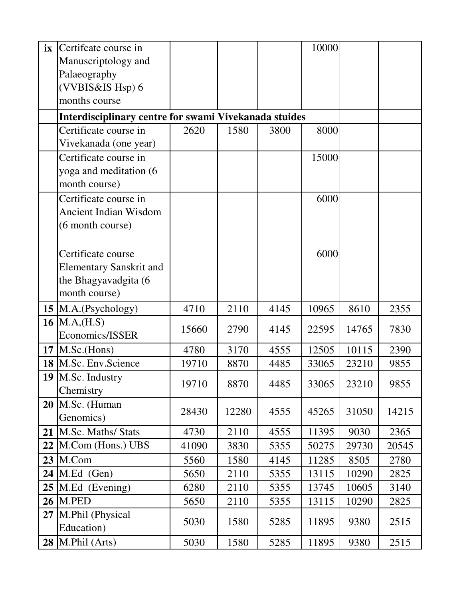| ix | Certifcate course in                                  |       |       |      | 10000 |       |       |
|----|-------------------------------------------------------|-------|-------|------|-------|-------|-------|
|    | Manuscriptology and                                   |       |       |      |       |       |       |
|    | Palaeography                                          |       |       |      |       |       |       |
|    | (VVBIS&IS Hsp) 6                                      |       |       |      |       |       |       |
|    | months course                                         |       |       |      |       |       |       |
|    | Interdisciplinary centre for swami Vivekanada stuides |       |       |      |       |       |       |
|    | Certificate course in                                 | 2620  | 1580  | 3800 | 8000  |       |       |
|    | Vivekanada (one year)                                 |       |       |      |       |       |       |
|    | Certificate course in                                 |       |       |      | 15000 |       |       |
|    | yoga and meditation (6                                |       |       |      |       |       |       |
|    | month course)                                         |       |       |      |       |       |       |
|    | Certificate course in                                 |       |       |      | 6000  |       |       |
|    | <b>Ancient Indian Wisdom</b>                          |       |       |      |       |       |       |
|    | (6 month course)                                      |       |       |      |       |       |       |
|    |                                                       |       |       |      |       |       |       |
|    | Certificate course                                    |       |       |      | 6000  |       |       |
|    | <b>Elementary Sanskrit and</b>                        |       |       |      |       |       |       |
|    | the Bhagyavadgita (6                                  |       |       |      |       |       |       |
|    | month course)                                         |       |       |      |       |       |       |
| 15 | MA(Psychology)                                        | 4710  | 2110  | 4145 | 10965 | 8610  | 2355  |
|    | 16 $M.A,(H.S)$                                        | 15660 | 2790  | 4145 | 22595 | 14765 | 7830  |
|    | Economics/ISSER                                       |       |       |      |       |       |       |
| 17 | $M.Sc$ . (Hons)                                       | 4780  | 3170  | 4555 | 12505 | 10115 | 2390  |
|    | 18 M.Sc. Env.Science                                  | 19710 | 8870  | 4485 | 33065 | 23210 | 9855  |
|    | 19 M.Sc. Industry                                     | 19710 | 8870  | 4485 | 33065 | 23210 | 9855  |
|    | Chemistry                                             |       |       |      |       |       |       |
| 20 | M.Sc. (Human                                          | 28430 | 12280 | 4555 | 45265 | 31050 | 14215 |
|    | Genomics)                                             |       |       |      |       |       |       |
| 21 | M.Sc. Maths/ Stats                                    | 4730  | 2110  | 4555 | 11395 | 9030  | 2365  |
| 22 | M.Com (Hons.) UBS                                     | 41090 | 3830  | 5355 | 50275 | 29730 | 20545 |
|    | $23$ M.Com                                            | 5560  | 1580  | 4145 | 11285 | 8505  | 2780  |
| 24 | M.Ed (Gen)                                            | 5650  | 2110  | 5355 | 13115 | 10290 | 2825  |
|    | 25   M.Ed (Evening)                                   | 6280  | 2110  | 5355 | 13745 | 10605 | 3140  |
|    | <b>26 M.PED</b>                                       | 5650  | 2110  | 5355 | 13115 | 10290 | 2825  |
|    | 27 M.Phil (Physical                                   | 5030  | 1580  | 5285 | 11895 | 9380  | 2515  |
|    | Education)                                            |       |       |      |       |       |       |
|    | $28$  M.Phil (Arts)                                   | 5030  | 1580  | 5285 | 11895 | 9380  | 2515  |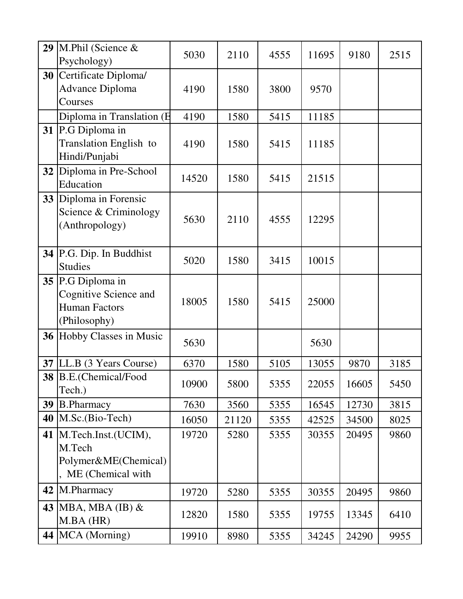| 29 | M.Phil (Science $&$<br>Psychology)                                              | 5030  | 2110  | 4555 | 11695 | 9180  | 2515 |
|----|---------------------------------------------------------------------------------|-------|-------|------|-------|-------|------|
|    | 30 Certificate Diploma/<br><b>Advance Diploma</b><br>Courses                    | 4190  | 1580  | 3800 | 9570  |       |      |
|    | Diploma in Translation (E)                                                      | 4190  | 1580  | 5415 | 11185 |       |      |
|    | 31 P.G Diploma in<br>Translation English to<br>Hindi/Punjabi                    | 4190  | 1580  | 5415 | 11185 |       |      |
| 32 | Diploma in Pre-School<br>Education                                              | 14520 | 1580  | 5415 | 21515 |       |      |
| 33 | Diploma in Forensic<br>Science & Criminology<br>(Anthropology)                  | 5630  | 2110  | 4555 | 12295 |       |      |
| 34 | P.G. Dip. In Buddhist<br><b>Studies</b>                                         | 5020  | 1580  | 3415 | 10015 |       |      |
| 35 | P.G Diploma in<br>Cognitive Science and<br><b>Human Factors</b><br>(Philosophy) | 18005 | 1580  | 5415 | 25000 |       |      |
|    | <b>36 Hobby Classes in Music</b>                                                | 5630  |       |      | 5630  |       |      |
| 37 | LL.B (3 Years Course)                                                           | 6370  | 1580  | 5105 | 13055 | 9870  | 3185 |
|    | <b>38</b> B.E. (Chemical/Food<br>Tech.)                                         | 10900 | 5800  | 5355 | 22055 | 16605 | 5450 |
| 39 | B.Pharmacy                                                                      | 7630  | 3560  | 5355 | 16545 | 12730 | 3815 |
|    | $40$ M.Sc. (Bio-Tech)                                                           | 16050 | 21120 | 5355 | 42525 | 34500 | 8025 |
| 41 | M.Tech.Inst.(UCIM),<br>M.Tech<br>Polymer&ME(Chemical)<br>ME (Chemical with      | 19720 | 5280  | 5355 | 30355 | 20495 | 9860 |
| 42 | M.Pharmacy                                                                      | 19720 | 5280  | 5355 | 30355 | 20495 | 9860 |
|    | 43 MBA, MBA (IB) $\&$<br>M.BA (HR)                                              | 12820 | 1580  | 5355 | 19755 | 13345 | 6410 |
|    | 44   MCA (Morning)                                                              | 19910 | 8980  | 5355 | 34245 | 24290 | 9955 |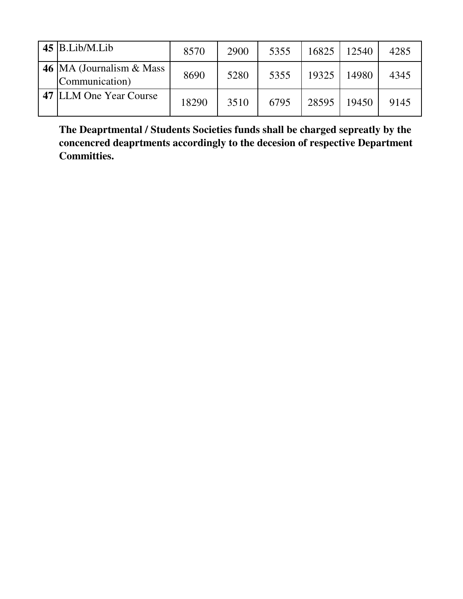| $45$ B.Lib/M.Lib                                | 8570  | 2900 | 5355 | 16825 | 12540 | 4285 |
|-------------------------------------------------|-------|------|------|-------|-------|------|
| 46   MA (Journalism $\&$ Mass<br>Communication) | 8690  | 5280 | 5355 | 19325 | 14980 | 4345 |
| 47 LLM One Year Course                          | 18290 | 3510 | 6795 | 28595 | 19450 | 9145 |

**The Deaprtmental / Students Societies funds shall be charged sepreatly by the concencred deaprtments accordingly to the decesion of respective Department Committies.**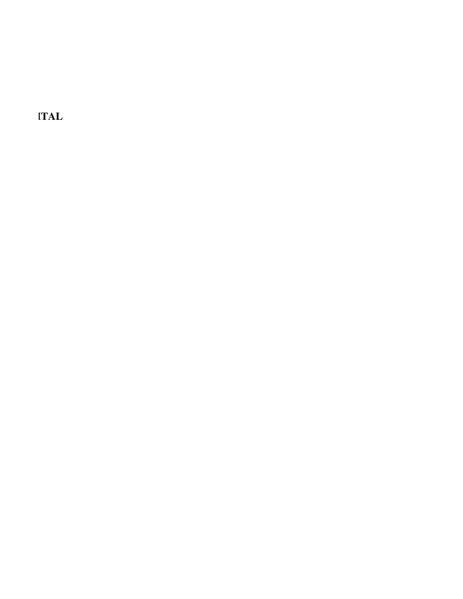**TAL**